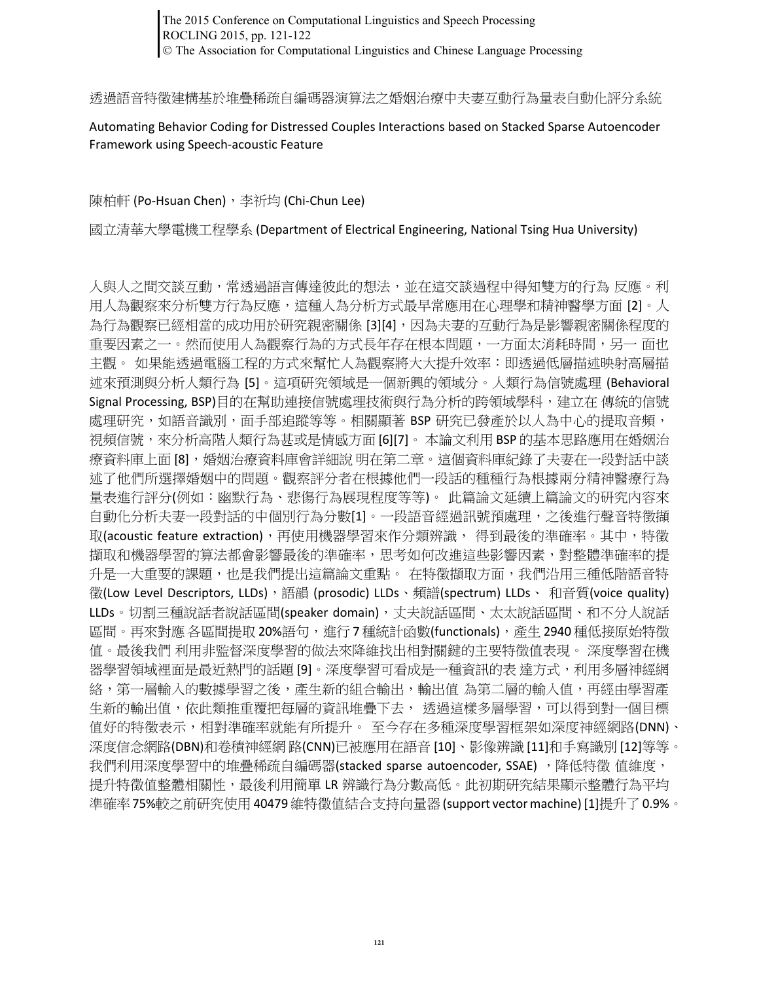The 2015 Conference on Computational Linguistics and Speech Processing ROCLING 2015, pp. 121-122 The Association for Computational Linguistics and Chinese Language Processing

透過語音特徵建構基於堆疊稀疏自編碼器演算法之婚姻治療中夫妻互動行為量表自動化評分系統

Automating Behavior Coding for Distressed Couples Interactions based on Stacked Sparse Autoencoder Framework using Speech-acoustic Feature

陳柏軒 (Po-Hsuan Chen), 李祈均 (Chi-Chun Lee)

國立清華大學電機工程學系 (Department of Electrical Engineering, National Tsing Hua University)

人與人之間交談互動,常透過語言傳達彼此的想法,並在這交談過程中得知雙方的行為 反應。利 用人為觀察來分析雙方行為反應,這種人為分析方式最早常應用在心理學和精神醫學方面 [2]。人 為行為觀察已經相當的成功用於研究親密關係 [3][4],因為夫妻的互動行為是影響親密關係程度的 重要因素之一。然而使用人為觀察行為的方式長年存在根本問題,一方面太消耗時間,另一 面也 主觀。 如果能透過電腦工程的方式來幫忙人為觀察將大大提升效率:即透過低層描述映射高層描 述來預測與分析人類行為 [5]。這項研究領域是一個新興的領域分。人類行為信號處理 (Behavioral Signal Processing, BSP)目的在幫助連接信號處理技術與行為分析的跨領域學科,建立在傳統的信號 處理研究,如語音識別,面手部追蹤等等。相關顯著 BSP 研究已發產於以人為中心的提取音頻, 視頻信號,來分析高階人類行為甚或是情感方面 [6][7]。 本論文利用 BSP 的基本思路應用在婚姻治 療資料庫上面 [8],婚姻治療資料庫會詳細說 明在第二章。這個資料庫紀錄了夫妻在一段對話中談 述了他們所選擇婚姻中的問題。觀察評分者在根據他們一段話的種種行為根據兩分精神醫療行為 量表進行評分(例如:幽默行為、悲傷行為展現程度等等)。 此篇論文延續上篇論文的研究內容來 自動化分析夫妻一段對話的中個別行為分數[1]。一段語音經過訊號預處理,之後進行聲音特徵擷 取(acoustic feature extraction),再使用機器學習來作分類辨識, 得到最後的準確率。其中,特徵 擷取和機器學習的算法都會影響最後的準確率,思考如何改進這些影響因素,對整體準確率的提 升是一大重要的課題,也是我們提出這篇論文重點。 在特徵擷取方面,我們沿用三種低階語音特 徵(Low Level Descriptors, LLDs),語韻 (prosodic) LLDs、頻譜(spectrum) LLDs、 和音質(voice quality) LLDs。切割三種說話者說話區間(speaker domain),丈夫說話區間、太太說話區間、和不分人說話 區間。再來對應 各區間提取 20%語句,進行 7 種統計函數(functionals),產生 2940 種低接原始特徵 值。最後我們 利用非監督深度學習的做法來降維找出相對關鍵的主要特徵值表現。 深度學習在機 器學習領域裡面是最近熱門的話題 [9]。深度學習可看成是一種資訊的表 達方式,利用多層神經網 絡,第一層輸入的數據學習之後,產生新的組合輸出,輸出值 為第二層的輸入值,再經由學習產 生新的輸出值,依此類推重覆把每層的資訊堆疊下去, 透過這樣多層學習,可以得到對一個目標 值好的特徵表示,相對準確率就能有所提升。 至今存在多種深度學習框架如深度神經網路(DNN)、 深度信念網路(DBN)和卷積神經網 路(CNN)已被應用在語音 [10]、影像辨識 [11]和手寫識別 [12]等等。 我們利用深度學習中的堆疊稀疏自編碼器(stacked sparse autoencoder, SSAE), 降低特徵 值維度, 提升特徵值整體相關性,最後利用簡單 LR 辨識行為分數高低。此初期研究結果顯示整體行為平均 準確率75%較之前研究使用 40479 維特徵值結合支持向量器(support vector machine) [1]提升了0.9%。